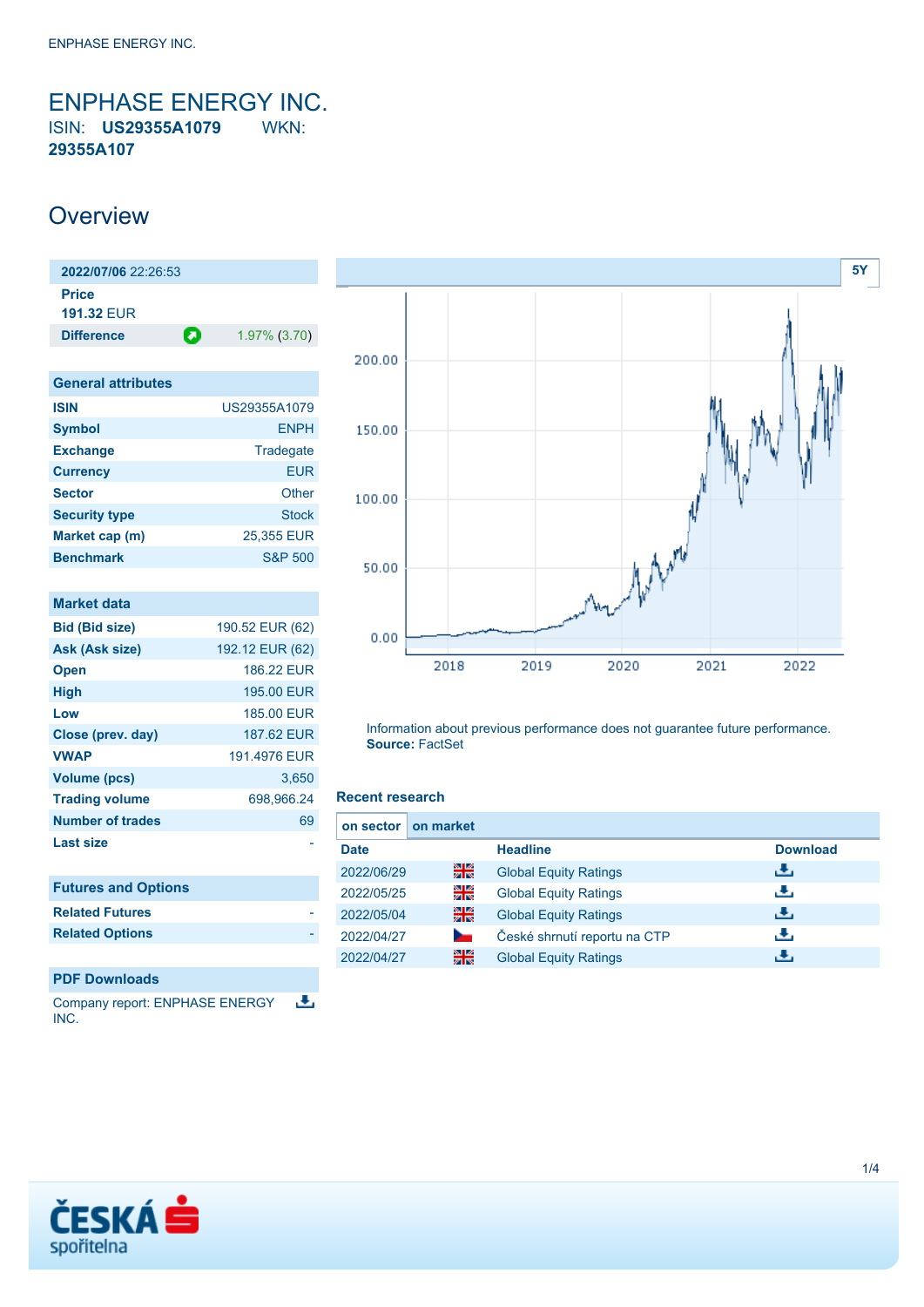<span id="page-0-0"></span>ENPHASE ENERGY INC. ISIN: **US29355A1079** WKN: **29355A107**

### **Overview**

| 2022/07/06 22:26:53        |   |              |
|----------------------------|---|--------------|
| Price<br><b>191.32 FUR</b> |   |              |
| <b>Difference</b>          | О | 1.97% (3.70) |
|                            |   |              |

| <b>General attributes</b> |                    |
|---------------------------|--------------------|
| <b>ISIN</b>               | US29355A1079       |
| <b>Symbol</b>             | <b>ENPH</b>        |
| <b>Exchange</b>           | Tradegate          |
| <b>Currency</b>           | <b>EUR</b>         |
| <b>Sector</b>             | Other              |
| <b>Security type</b>      | <b>Stock</b>       |
| Market cap (m)            | 25,355 EUR         |
| <b>Benchmark</b>          | <b>S&amp;P 500</b> |

| <b>Market data</b>         |                   |
|----------------------------|-------------------|
| <b>Bid (Bid size)</b>      | 190.52 EUR (62)   |
| Ask (Ask size)             | 192.12 EUR (62)   |
| <b>Open</b>                | <b>186.22 EUR</b> |
| <b>High</b>                | 195.00 EUR        |
| Low                        | 185,00 EUR        |
| Close (prev. day)          | 187.62 EUR        |
| <b>VWAP</b>                | 191.4976 EUR      |
| <b>Volume (pcs)</b>        | 3,650             |
| <b>Trading volume</b>      | 698,966.24        |
| Number of trades           | 69                |
| <b>Last size</b>           |                   |
| <b>Futures and Options</b> |                   |
| <b>Related Futures</b>     |                   |
| <b>Related Options</b>     |                   |

### **PDF Downloads**

舌 Company report: ENPHASE ENERGY INC.



Information about previous performance does not guarantee future performance. **Source:** FactSet

#### **Recent research**

| on sector   | on market |                              |                 |
|-------------|-----------|------------------------------|-----------------|
| <b>Date</b> |           | <b>Headline</b>              | <b>Download</b> |
| 2022/06/29  | 을중        | <b>Global Equity Ratings</b> | ريان            |
| 2022/05/25  | 읡         | <b>Global Equity Ratings</b> | æ,              |
| 2022/05/04  | 꾊         | <b>Global Equity Ratings</b> | æ,              |
| 2022/04/27  |           | České shrnutí reportu na CTP | æ,              |
| 2022/04/27  | 을         | <b>Global Equity Ratings</b> |                 |

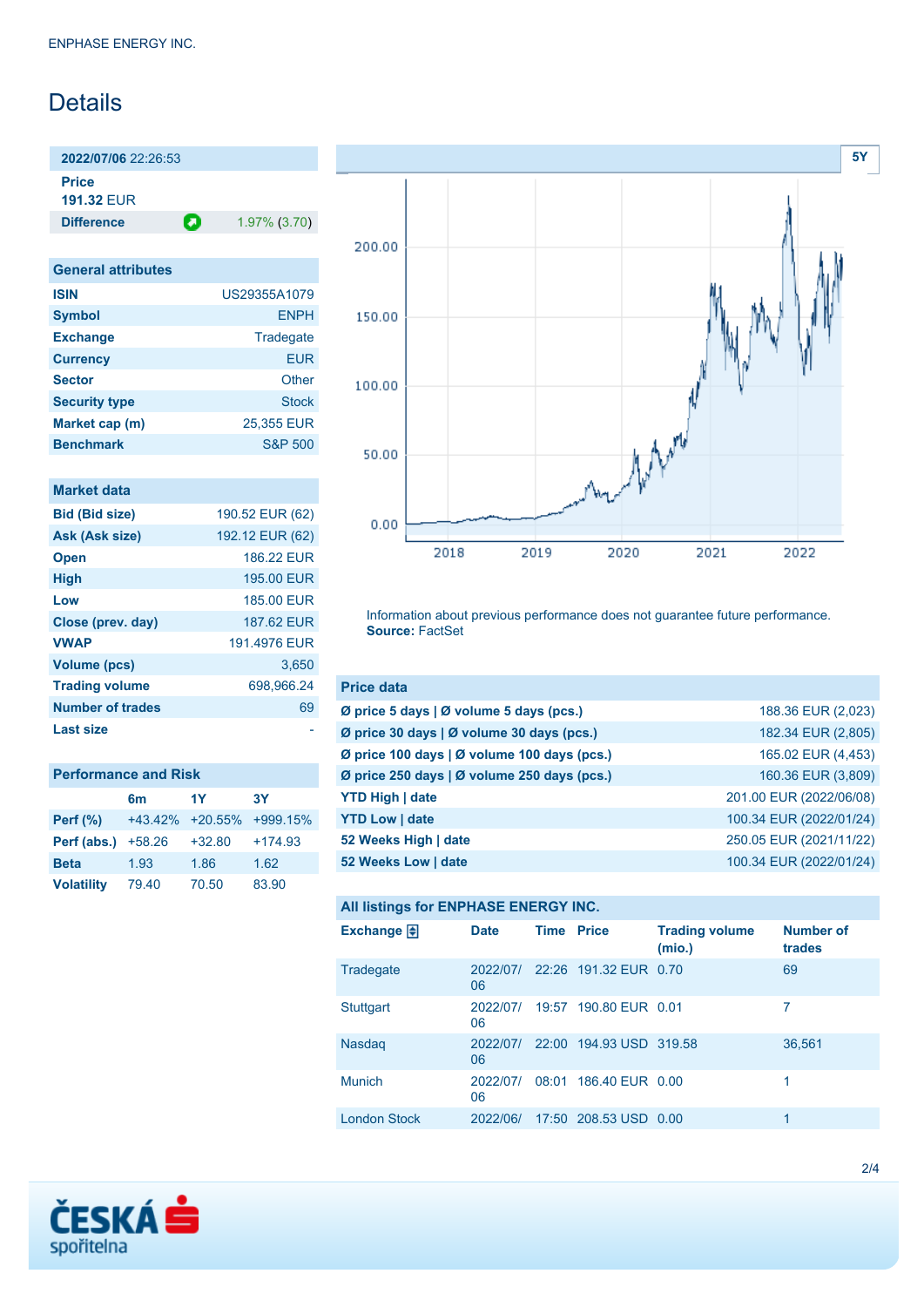## Details

**2022/07/06** 22:26:53

**Price 191.32** EUR

**Difference 1.97% (3.70)** 

| <b>General attributes</b> |                    |
|---------------------------|--------------------|
| <b>ISIN</b>               | US29355A1079       |
| <b>Symbol</b>             | <b>ENPH</b>        |
| <b>Exchange</b>           | Tradegate          |
| <b>Currency</b>           | <b>EUR</b>         |
| <b>Sector</b>             | Other              |
| <b>Security type</b>      | <b>Stock</b>       |
| Market cap (m)            | 25,355 EUR         |
| <b>Benchmark</b>          | <b>S&amp;P 500</b> |

### **Market data**

| <b>Bid (Bid size)</b>   | 190.52 EUR (62) |
|-------------------------|-----------------|
| Ask (Ask size)          | 192.12 EUR (62) |
| <b>Open</b>             | 186.22 FUR      |
| <b>High</b>             | 195.00 EUR      |
| Low                     | 185.00 EUR      |
| Close (prev. day)       | 187.62 EUR      |
| <b>VWAP</b>             | 191 4976 FUR    |
| <b>Volume (pcs)</b>     | 3.650           |
| <b>Trading volume</b>   | 698.966.24      |
| <b>Number of trades</b> | 69              |
| Last size               |                 |

| <b>Performance and Risk</b> |                 |          |            |  |
|-----------------------------|-----------------|----------|------------|--|
|                             | 6 <sub>m</sub>  | 1Y       | <b>3Y</b>  |  |
| Perf $(\%)$                 | +43.42% +20.55% |          | $+999.15%$ |  |
| Perf (abs.)                 | $+58.26$        | $+32.80$ | $+174.93$  |  |
| <b>Beta</b>                 | 1.93            | 1.86     | 1.62       |  |
| <b>Volatility</b>           | 79.40           | 70.50    | 83.90      |  |



Information about previous performance does not guarantee future performance. **Source:** FactSet

| <b>Price data</b>                             |                         |
|-----------------------------------------------|-------------------------|
| Ø price 5 days $\vert$ Ø volume 5 days (pcs.) | 188.36 EUR (2,023)      |
| Ø price 30 days   Ø volume 30 days (pcs.)     | 182.34 EUR (2,805)      |
| Ø price 100 days   Ø volume 100 days (pcs.)   | 165.02 EUR (4,453)      |
| Ø price 250 days   Ø volume 250 days (pcs.)   | 160.36 EUR (3,809)      |
| <b>YTD High   date</b>                        | 201.00 EUR (2022/06/08) |
| <b>YTD Low   date</b>                         | 100.34 EUR (2022/01/24) |
| 52 Weeks High   date                          | 250.05 EUR (2021/11/22) |
| 52 Weeks Low   date                           | 100.34 EUR (2022/01/24) |

### **All listings for ENPHASE ENERGY INC.**

| Exchange $\Box$     | <b>Date</b>    | <b>Time Price</b> |                                  | <b>Trading volume</b><br>(mio.) | <b>Number of</b><br>trades |
|---------------------|----------------|-------------------|----------------------------------|---------------------------------|----------------------------|
| Tradegate           | 2022/07/<br>06 |                   | 22:26 191.32 EUR 0.70            |                                 | 69                         |
| Stuttgart           | 2022/07/<br>06 |                   | 19:57 190.80 EUR 0.01            |                                 | 7                          |
| <b>Nasdag</b>       | 06             |                   | 2022/07/ 22:00 194.93 USD 319.58 |                                 | 36,561                     |
| <b>Munich</b>       | 2022/07/<br>06 |                   | 08:01 186.40 EUR 0.00            |                                 |                            |
| <b>London Stock</b> | 2022/06/       |                   | 17:50 208.53 USD 0.00            |                                 |                            |

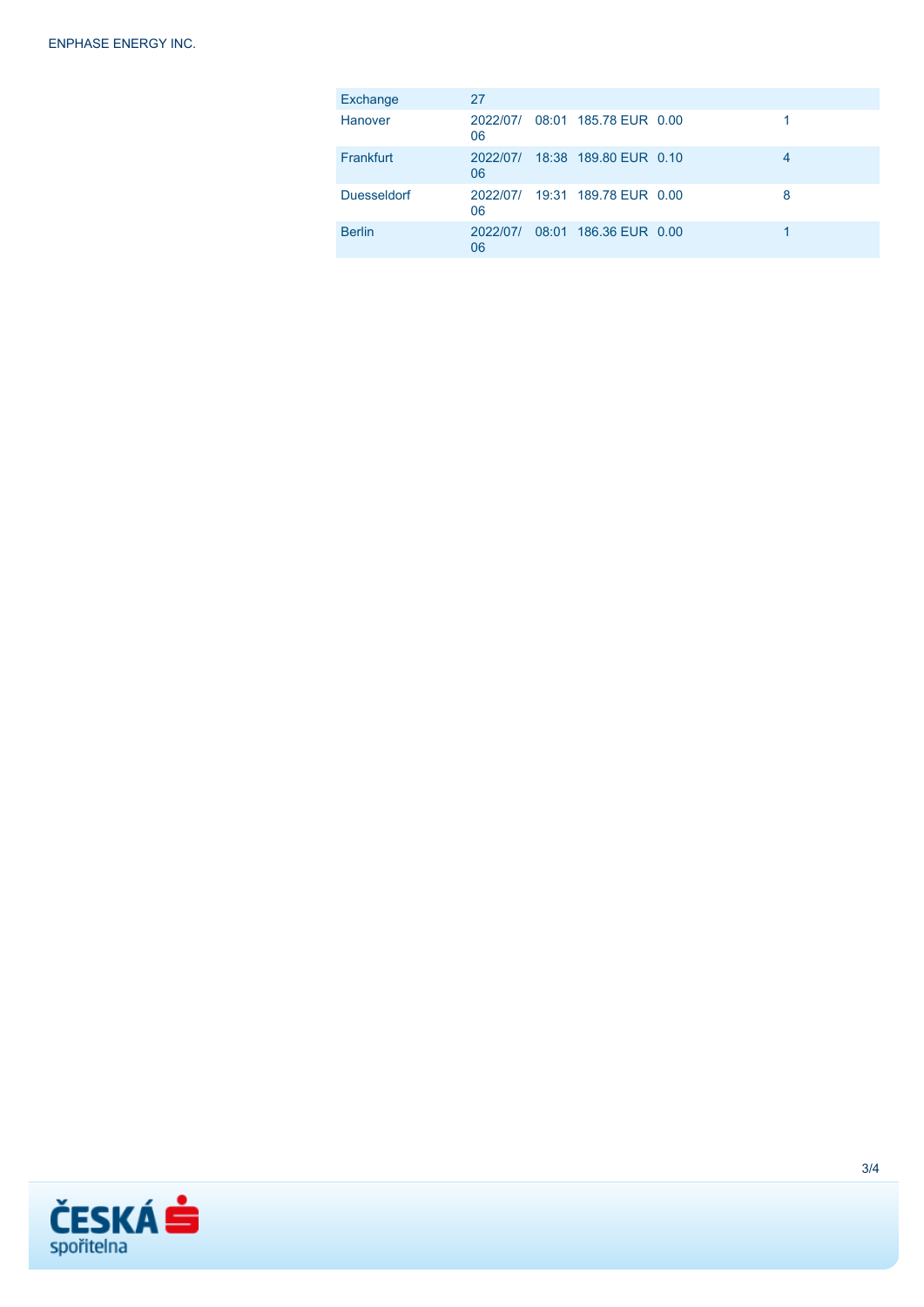| Exchange           | 27             |                                |   |
|--------------------|----------------|--------------------------------|---|
| Hanover            | 2022/07/<br>06 | 08:01 185.78 EUR 0.00          |   |
| Frankfurt          | 2022/07/<br>06 | 18:38 189.80 EUR 0.10          | 4 |
| <b>Duesseldorf</b> | 06             | 2022/07/ 19:31 189.78 EUR 0.00 | 8 |
| <b>Berlin</b>      | 2022/07/<br>06 | 08:01 186.36 EUR 0.00          |   |